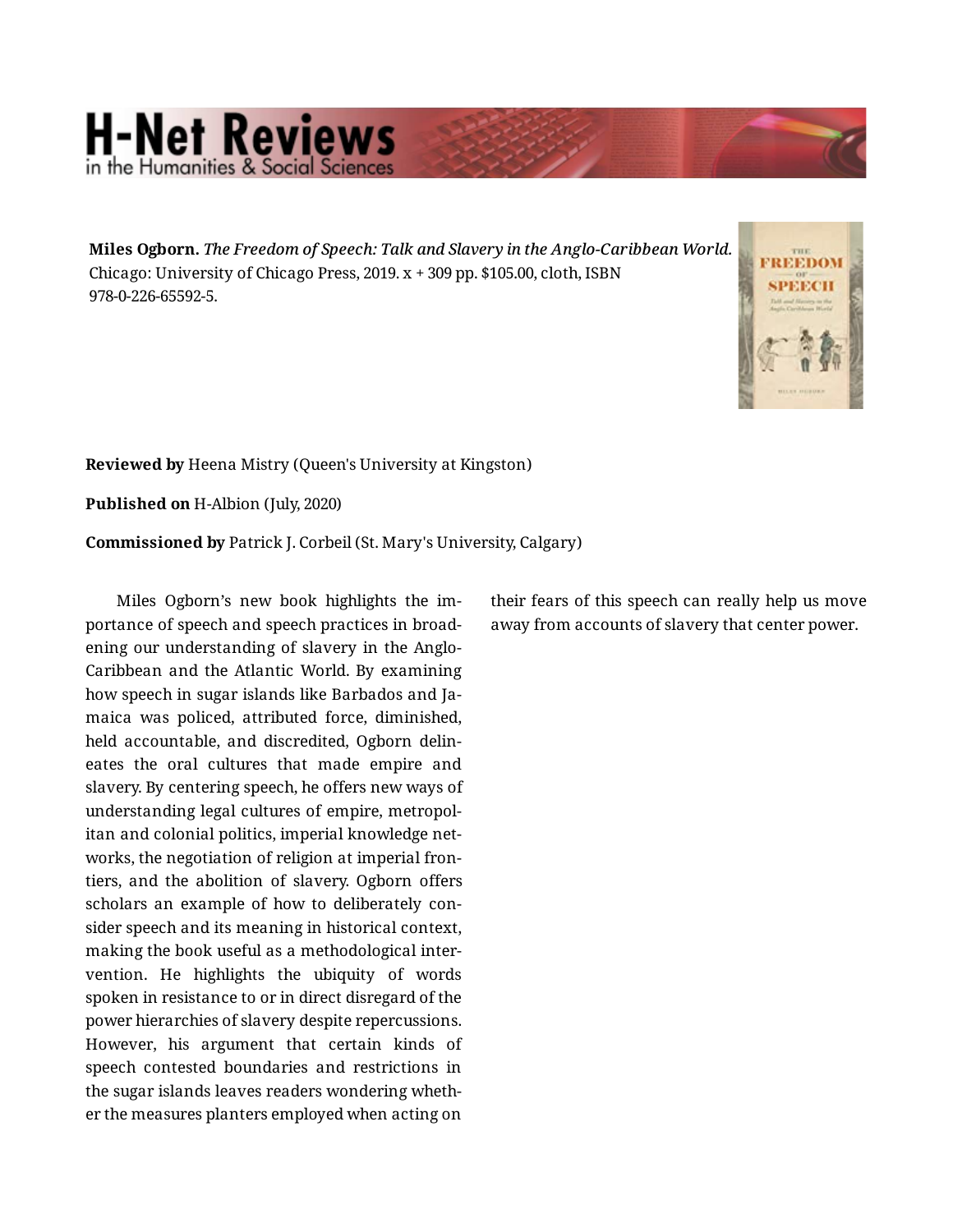## **H-Net Reviews** in the Humanities & Social

**Miles Ogborn.** *The Freedom of Speech: Talk and Slavery in the Anglo-Caribbean World.* Chicago: University of Chicago Press, 2019. x + 309 pp. \$105.00, cloth, ISBN 978-0-226-65592-5.



**Reviewed by** Heena Mistry (Queen's University at Kingston)

**Published on** H-Albion (July, 2020)

**Commissioned by** Patrick J. Corbeil (St. Mary's University, Calgary)

Miles Ogborn's new book highlights the im‐ portance of speech and speech practices in broad‐ ening our understanding of slavery in the Anglo-Caribbean and the Atlantic World. By examining how speech in sugar islands like Barbados and Ja‐ maica was policed, attributed force, diminished, held accountable, and discredited, Ogborn delin‐ eates the oral cultures that made empire and slavery. By centering speech, he offers new ways of understanding legal cultures of empire, metropol‐ itan and colonial politics, imperial knowledge net‐ works, the negotiation of religion at imperial fron‐ tiers, and the abolition of slavery. Ogborn offers scholars an example of how to deliberately con‐ sider speech and its meaning in historical context, making the book useful as a methodological inter‐ vention. He highlights the ubiquity of words spoken in resistance to or in direct disregard of the power hierarchies of slavery despite repercussions. However, his argument that certain kinds of speech contested boundaries and restrictions in the sugar islands leaves readers wondering wheth‐ er the measures planters employed when acting on

their fears of this speech can really help us move away from accounts of slavery that center power.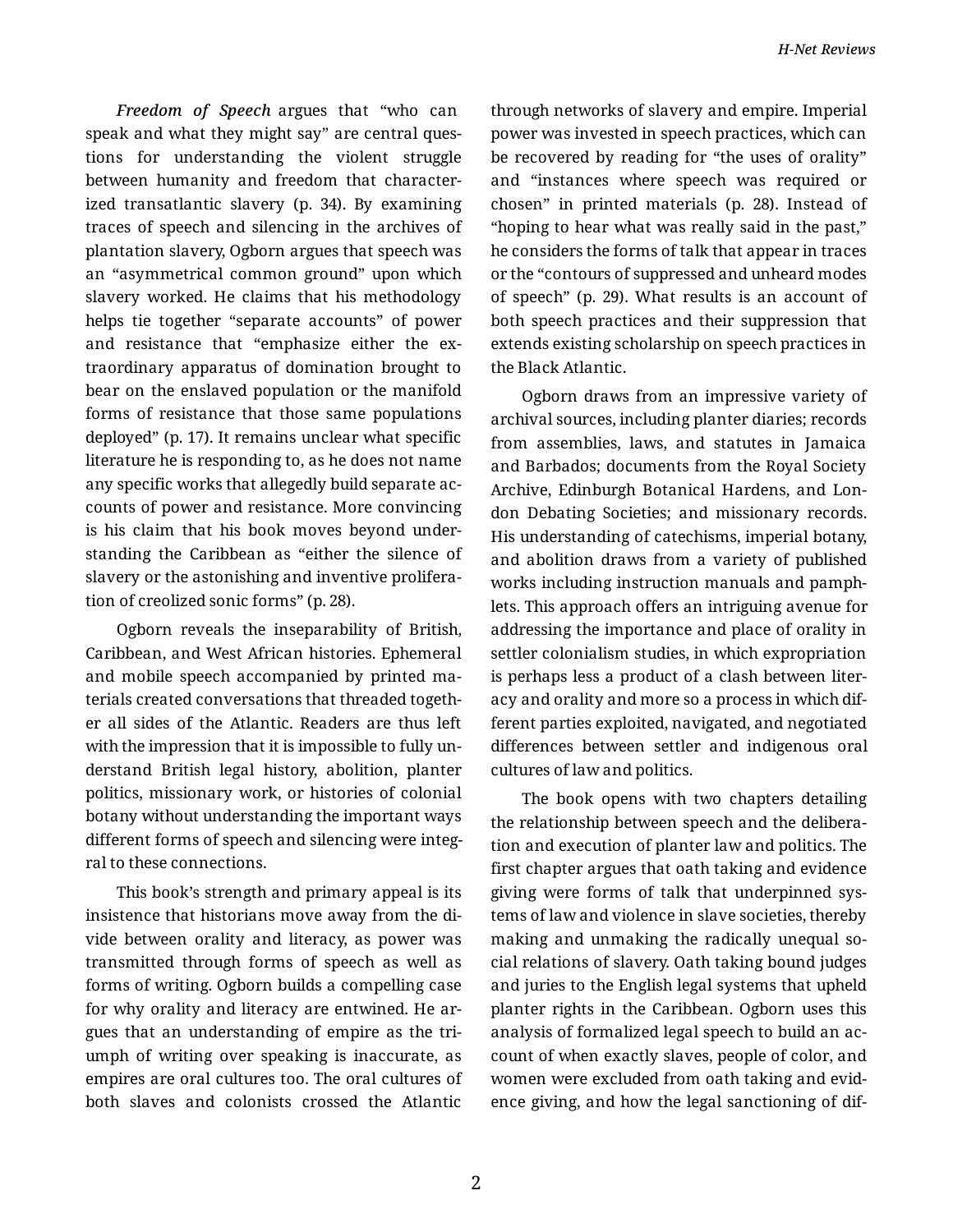*Freedom of Speech* argues that "who can speak and what they might say" are central ques‐ tions for understanding the violent struggle between humanity and freedom that character‐ ized transatlantic slavery (p. 34). By examining traces of speech and silencing in the archives of plantation slavery, Ogborn argues that speech was an "asymmetrical common ground" upon which slavery worked. He claims that his methodology helps tie together "separate accounts" of power and resistance that "emphasize either the extraordinary apparatus of domination brought to bear on the enslaved population or the manifold forms of resistance that those same populations deployed" (p. 17). It remains unclear what specific literature he is responding to, as he does not name any specific works that allegedly build separate ac‐ counts of power and resistance. More convincing is his claim that his book moves beyond under‐ standing the Caribbean as "either the silence of slavery or the astonishing and inventive prolifera‐ tion of creolized sonic forms" (p. 28).

Ogborn reveals the inseparability of British, Caribbean, and West African histories. Ephemeral and mobile speech accompanied by printed ma‐ terials created conversations that threaded togeth‐ er all sides of the Atlantic. Readers are thus left with the impression that it is impossible to fully un‐ derstand British legal history, abolition, planter politics, missionary work, or histories of colonial botany without understanding the important ways different forms of speech and silencing were integral to these connections.

This book's strength and primary appeal is its insistence that historians move away from the di‐ vide between orality and literacy, as power was transmitted through forms of speech as well as forms of writing. Ogborn builds a compelling case for why orality and literacy are entwined. He ar‐ gues that an understanding of empire as the tri‐ umph of writing over speaking is inaccurate, as empires are oral cultures too. The oral cultures of both slaves and colonists crossed the Atlantic through networks of slavery and empire. Imperial power was invested in speech practices, which can be recovered by reading for "the uses of orality" and "instances where speech was required or chosen" in printed materials (p. 28). Instead of "hoping to hear what was really said in the past," he considers the forms of talk that appear in traces or the "contours of suppressed and unheard modes of speech" (p. 29). What results is an account of both speech practices and their suppression that extends existing scholarship on speech practices in the Black Atlantic.

Ogborn draws from an impressive variety of archival sources, including planter diaries; records from assemblies, laws, and statutes in Jamaica and Barbados; documents from the Royal Society Archive, Edinburgh Botanical Hardens, and Lon‐ don Debating Societies; and missionary records. His understanding of catechisms, imperial botany, and abolition draws from a variety of published works including instruction manuals and pamph‐ lets. This approach offers an intriguing avenue for addressing the importance and place of orality in settler colonialism studies, in which expropriation is perhaps less a product of a clash between literacy and orality and more so a process in which dif‐ ferent parties exploited, navigated, and negotiated differences between settler and indigenous oral cultures of law and politics.

The book opens with two chapters detailing the relationship between speech and the delibera‐ tion and execution of planter law and politics. The first chapter argues that oath taking and evidence giving were forms of talk that underpinned sys‐ tems of law and violence in slave societies, thereby making and unmaking the radically unequal so‐ cial relations of slavery. Oath taking bound judges and juries to the English legal systems that upheld planter rights in the Caribbean. Ogborn uses this analysis of formalized legal speech to build an ac‐ count of when exactly slaves, people of color, and women were excluded from oath taking and evid‐ ence giving, and how the legal sanctioning of dif‐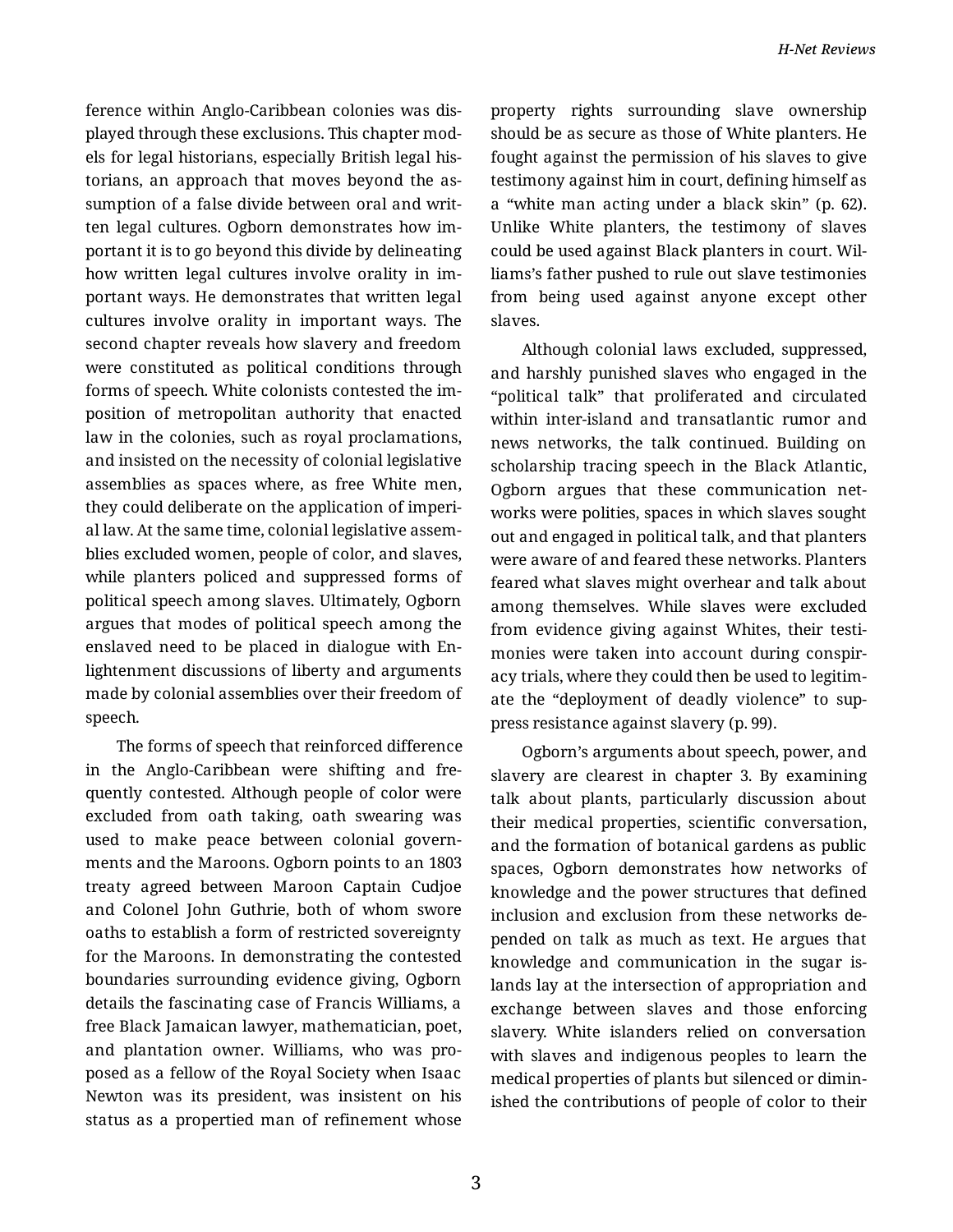ference within Anglo-Caribbean colonies was dis‐ played through these exclusions. This chapter mod‐ els for legal historians, especially British legal his‐ torians, an approach that moves beyond the as‐ sumption of a false divide between oral and writ‐ ten legal cultures. Ogborn demonstrates how im‐ portant it is to go beyond this divide by delineating how written legal cultures involve orality in im‐ portant ways. He demonstrates that written legal cultures involve orality in important ways. The second chapter reveals how slavery and freedom were constituted as political conditions through forms of speech. White colonists contested the im‐ position of metropolitan authority that enacted law in the colonies, such as royal proclamations, and insisted on the necessity of colonial legislative assemblies as spaces where, as free White men, they could deliberate on the application of imperi‐ al law. At the same time, colonial legislative assem‐ blies excluded women, people of color, and slaves, while planters policed and suppressed forms of political speech among slaves. Ultimately, Ogborn argues that modes of political speech among the enslaved need to be placed in dialogue with En‐ lightenment discussions of liberty and arguments made by colonial assemblies over their freedom of speech.

The forms of speech that reinforced difference in the Anglo-Caribbean were shifting and fre‐ quently contested. Although people of color were excluded from oath taking, oath swearing was used to make peace between colonial govern‐ ments and the Maroons. Ogborn points to an 1803 treaty agreed between Maroon Captain Cudjoe and Colonel John Guthrie, both of whom swore oaths to establish a form of restricted sovereignty for the Maroons. In demonstrating the contested boundaries surrounding evidence giving, Ogborn details the fascinating case of Francis Williams, a free Black Jamaican lawyer, mathematician, poet, and plantation owner. Williams, who was pro‐ posed as a fellow of the Royal Society when Isaac Newton was its president, was insistent on his status as a propertied man of refinement whose

property rights surrounding slave ownership should be as secure as those of White planters. He fought against the permission of his slaves to give testimony against him in court, defining himself as a "white man acting under a black skin" (p. 62). Unlike White planters, the testimony of slaves could be used against Black planters in court. Wil‐ liams's father pushed to rule out slave testimonies from being used against anyone except other slaves.

Although colonial laws excluded, suppressed, and harshly punished slaves who engaged in the "political talk" that proliferated and circulated within inter-island and transatlantic rumor and news networks, the talk continued. Building on scholarship tracing speech in the Black Atlantic, Ogborn argues that these communication net‐ works were polities, spaces in which slaves sought out and engaged in political talk, and that planters were aware of and feared these networks. Planters feared what slaves might overhear and talk about among themselves. While slaves were excluded from evidence giving against Whites, their testi‐ monies were taken into account during conspir‐ acy trials, where they could then be used to legitim‐ ate the "deployment of deadly violence" to sup‐ press resistance against slavery (p. 99).

Ogborn's arguments about speech, power, and slavery are clearest in chapter 3. By examining talk about plants, particularly discussion about their medical properties, scientific conversation, and the formation of botanical gardens as public spaces, Ogborn demonstrates how networks of knowledge and the power structures that defined inclusion and exclusion from these networks de‐ pended on talk as much as text. He argues that knowledge and communication in the sugar is‐ lands lay at the intersection of appropriation and exchange between slaves and those enforcing slavery. White islanders relied on conversation with slaves and indigenous peoples to learn the medical properties of plants but silenced or dimin‐ ished the contributions of people of color to their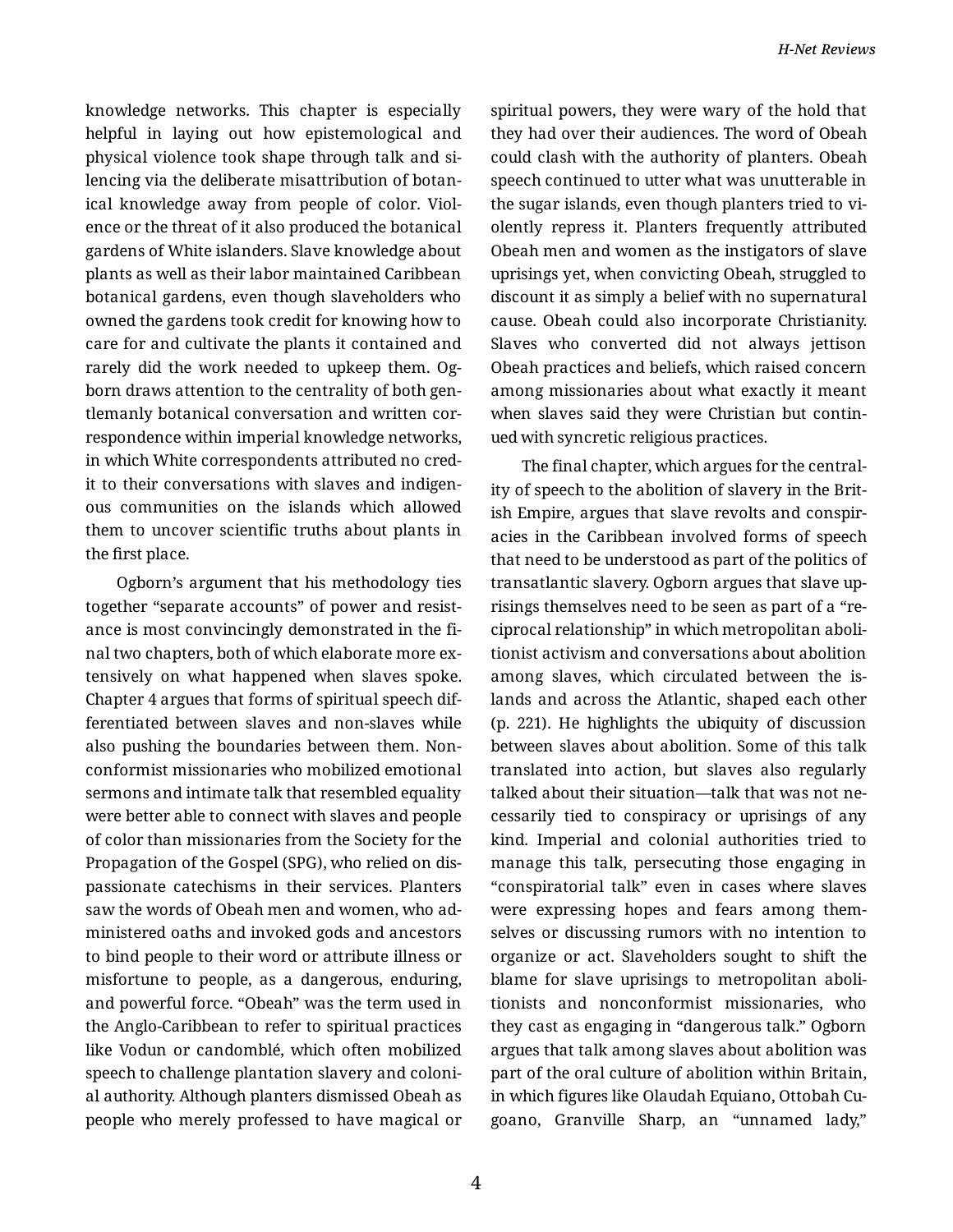knowledge networks. This chapter is especially helpful in laying out how epistemological and physical violence took shape through talk and si‐ lencing via the deliberate misattribution of botan‐ ical knowledge away from people of color. Viol‐ ence or the threat of it also produced the botanical gardens of White islanders. Slave knowledge about plants as well as their labor maintained Caribbean botanical gardens, even though slaveholders who owned the gardens took credit for knowing how to care for and cultivate the plants it contained and rarely did the work needed to upkeep them. Og‐ born draws attention to the centrality of both gen‐ tlemanly botanical conversation and written cor‐ respondence within imperial knowledge networks, in which White correspondents attributed no cred‐ it to their conversations with slaves and indigen‐ ous communities on the islands which allowed them to uncover scientific truths about plants in the first place.

Ogborn's argument that his methodology ties together "separate accounts" of power and resist‐ ance is most convincingly demonstrated in the fi‐ nal two chapters, both of which elaborate more ex‐ tensively on what happened when slaves spoke. Chapter 4 argues that forms of spiritual speech dif‐ ferentiated between slaves and non-slaves while also pushing the boundaries between them. Non‐ conformist missionaries who mobilized emotional sermons and intimate talk that resembled equality were better able to connect with slaves and people of color than missionaries from the Society for the Propagation of the Gospel (SPG), who relied on dis‐ passionate catechisms in their services. Planters saw the words of Obeah men and women, who ad‐ ministered oaths and invoked gods and ancestors to bind people to their word or attribute illness or misfortune to people, as a dangerous, enduring, and powerful force. "Obeah" was the term used in the Anglo-Caribbean to refer to spiritual practices like Vodun or candomblé, which often mobilized speech to challenge plantation slavery and coloni‐ al authority. Although planters dismissed Obeah as people who merely professed to have magical or

spiritual powers, they were wary of the hold that they had over their audiences. The word of Obeah could clash with the authority of planters. Obeah speech continued to utter what was unutterable in the sugar islands, even though planters tried to vi‐ olently repress it. Planters frequently attributed Obeah men and women as the instigators of slave uprisings yet, when convicting Obeah, struggled to discount it as simply a belief with no supernatural cause. Obeah could also incorporate Christianity. Slaves who converted did not always jettison Obeah practices and beliefs, which raised concern among missionaries about what exactly it meant when slaves said they were Christian but continued with syncretic religious practices.

The final chapter, which argues for the central‐ ity of speech to the abolition of slavery in the Brit‐ ish Empire, argues that slave revolts and conspir‐ acies in the Caribbean involved forms of speech that need to be understood as part of the politics of transatlantic slavery. Ogborn argues that slave up‐ risings themselves need to be seen as part of a "re‐ ciprocal relationship" in which metropolitan aboli‐ tionist activism and conversations about abolition among slaves, which circulated between the is‐ lands and across the Atlantic, shaped each other (p. 221). He highlights the ubiquity of discussion between slaves about abolition. Some of this talk translated into action, but slaves also regularly talked about their situation—talk that was not ne‐ cessarily tied to conspiracy or uprisings of any kind. Imperial and colonial authorities tried to manage this talk, persecuting those engaging in "conspiratorial talk" even in cases where slaves were expressing hopes and fears among them‐ selves or discussing rumors with no intention to organize or act. Slaveholders sought to shift the blame for slave uprisings to metropolitan aboli‐ tionists and nonconformist missionaries, who they cast as engaging in "dangerous talk." Ogborn argues that talk among slaves about abolition was part of the oral culture of abolition within Britain, in which figures like Olaudah Equiano, Ottobah Cu‐ goano, Granville Sharp, an "unnamed lady,"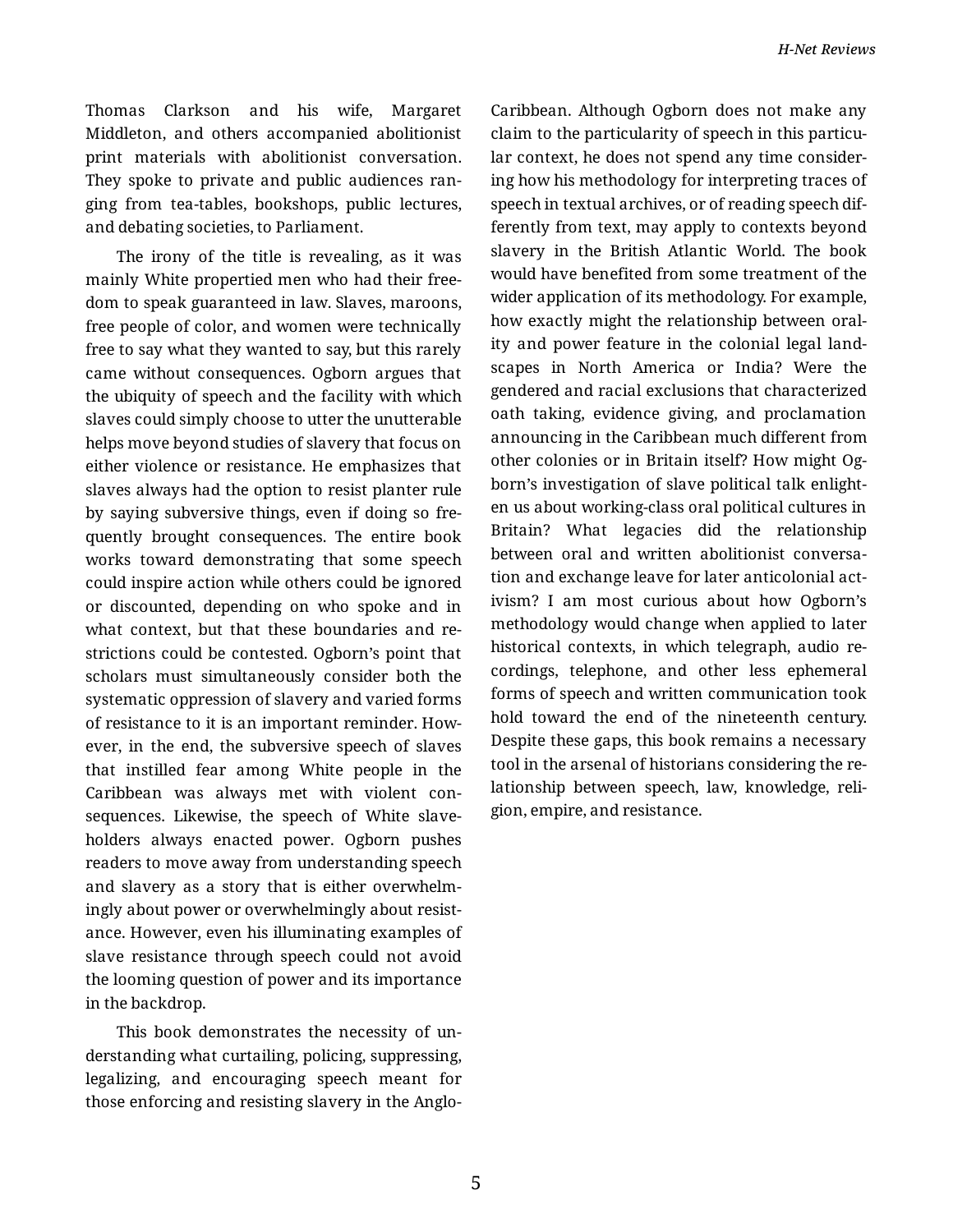Thomas Clarkson and his wife, Margaret Middleton, and others accompanied abolitionist print materials with abolitionist conversation. They spoke to private and public audiences ran‐ ging from tea-tables, bookshops, public lectures, and debating societies, to Parliament.

The irony of the title is revealing, as it was mainly White propertied men who had their free‐ dom to speak guaranteed in law. Slaves, maroons, free people of color, and women were technically free to say what they wanted to say, but this rarely came without consequences. Ogborn argues that the ubiquity of speech and the facility with which slaves could simply choose to utter the unutterable helps move beyond studies of slavery that focus on either violence or resistance. He emphasizes that slaves always had the option to resist planter rule by saying subversive things, even if doing so fre‐ quently brought consequences. The entire book works toward demonstrating that some speech could inspire action while others could be ignored or discounted, depending on who spoke and in what context, but that these boundaries and re‐ strictions could be contested. Ogborn's point that scholars must simultaneously consider both the systematic oppression of slavery and varied forms of resistance to it is an important reminder. How‐ ever, in the end, the subversive speech of slaves that instilled fear among White people in the Caribbean was always met with violent con‐ sequences. Likewise, the speech of White slave‐ holders always enacted power. Ogborn pushes readers to move away from understanding speech and slavery as a story that is either overwhelm‐ ingly about power or overwhelmingly about resist‐ ance. However, even his illuminating examples of slave resistance through speech could not avoid the looming question of power and its importance in the backdrop.

This book demonstrates the necessity of un‐ derstanding what curtailing, policing, suppressing, legalizing, and encouraging speech meant for those enforcing and resisting slavery in the Anglo-

Caribbean. Although Ogborn does not make any claim to the particularity of speech in this particular context, he does not spend any time consider‐ ing how his methodology for interpreting traces of speech in textual archives, or of reading speech dif‐ ferently from text, may apply to contexts beyond slavery in the British Atlantic World. The book would have benefited from some treatment of the wider application of its methodology. For example, how exactly might the relationship between oral‐ ity and power feature in the colonial legal land‐ scapes in North America or India? Were the gendered and racial exclusions that characterized oath taking, evidence giving, and proclamation announcing in the Caribbean much different from other colonies or in Britain itself? How might Og‐ born's investigation of slave political talk enlight‐ en us about working-class oral political cultures in Britain? What legacies did the relationship between oral and written abolitionist conversa‐ tion and exchange leave for later anticolonial act‐ ivism? I am most curious about how Ogborn's methodology would change when applied to later historical contexts, in which telegraph, audio re‐ cordings, telephone, and other less ephemeral forms of speech and written communication took hold toward the end of the nineteenth century. Despite these gaps, this book remains a necessary tool in the arsenal of historians considering the re‐ lationship between speech, law, knowledge, reli‐ gion, empire, and resistance.